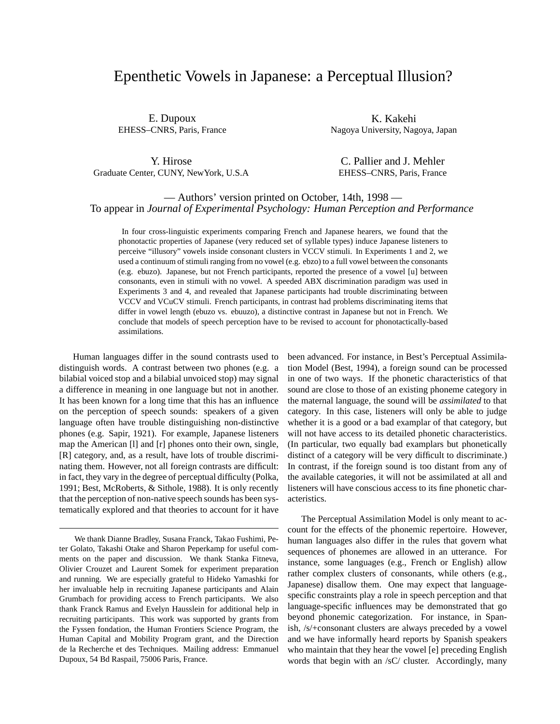# Epenthetic Vowels in Japanese: a Perceptual Illusion?

E. Dupoux EHESS–CNRS, Paris, France

K. Kakehi Nagoya University, Nagoya, Japan

Y. Hirose Graduate Center, CUNY, NewYork, U.S.A

C. Pallier and J. Mehler EHESS–CNRS, Paris, France

# — Authors' version printed on October, 14th, 1998 — To appear in *Journal of Experimental Psychology: Human Perception and Performance*

In four cross-linguistic experiments comparing French and Japanese hearers, we found that the phonotactic properties of Japanese (very reduced set of syllable types) induce Japanese listeners to perceive "illusory" vowels inside consonant clusters in VCCV stimuli. In Experiments 1 and 2, we used a continuum of stimuli ranging from no vowel (e.g. ebzo) to a full vowel between the consonants (e.g. ebuzo). Japanese, but not French participants, reported the presence of a vowel [u] between consonants, even in stimuli with no vowel. A speeded ABX discrimination paradigm was used in Experiments 3 and 4, and revealed that Japanese participants had trouble discriminating between VCCV and VCuCV stimuli. French participants, in contrast had problems discriminating items that differ in vowel length (ebuzo vs. ebuuzo), a distinctive contrast in Japanese but not in French. We conclude that models of speech perception have to be revised to account for phonotactically-based assimilations.

Human languages differ in the sound contrasts used to distinguish words. A contrast between two phones (e.g. a bilabial voiced stop and a bilabial unvoiced stop) may signal a difference in meaning in one language but not in another. It has been known for a long time that this has an influence on the perception of speech sounds: speakers of a given language often have trouble distinguishing non-distinctive phones (e.g. Sapir, 1921). For example, Japanese listeners map the American [l] and [r] phones onto their own, single, [R] category, and, as a result, have lots of trouble discriminating them. However, not all foreign contrasts are difficult: in fact, they vary in the degree of perceptual difficulty (Polka, 1991; Best, McRoberts, & Sithole, 1988). It is only recently that the perception of non-native speech sounds has been systematically explored and that theories to account for it have been advanced. For instance, in Best's Perceptual Assimilation Model (Best, 1994), a foreign sound can be processed in one of two ways. If the phonetic characteristics of that sound are close to those of an existing phoneme category in the maternal language, the sound will be *assimilated* to that category. In this case, listeners will only be able to judge whether it is a good or a bad examplar of that category, but will not have access to its detailed phonetic characteristics. (In particular, two equally bad examplars but phonetically distinct of a category will be very difficult to discriminate.) In contrast, if the foreign sound is too distant from any of the available categories, it will not be assimilated at all and listeners will have conscious access to its fine phonetic characteristics.

The Perceptual Assimilation Model is only meant to account for the effects of the phonemic repertoire. However, human languages also differ in the rules that govern what sequences of phonemes are allowed in an utterance. For instance, some languages (e.g., French or English) allow rather complex clusters of consonants, while others (e.g., Japanese) disallow them. One may expect that languagespecific constraints play a role in speech perception and that language-specific influences may be demonstrated that go beyond phonemic categorization. For instance, in Spanish, /s/+consonant clusters are always preceded by a vowel and we have informally heard reports by Spanish speakers who maintain that they hear the vowel [e] preceding English words that begin with an /sC/ cluster. Accordingly, many

We thank Dianne Bradley, Susana Franck, Takao Fushimi, Peter Golato, Takashi Otake and Sharon Peperkamp for useful comments on the paper and discussion. We thank Stanka Fitneva, Olivier Crouzet and Laurent Somek for experiment preparation and running. We are especially grateful to Hideko Yamashki for her invaluable help in recruiting Japanese participants and Alain Grumbach for providing access to French participants. We also thank Franck Ramus and Evelyn Hausslein for additional help in recruiting participants. This work was supported by grants from the Fyssen fondation, the Human Frontiers Science Program, the Human Capital and Mobility Program grant, and the Direction de la Recherche et des Techniques. Mailing address: Emmanuel Dupoux, 54 Bd Raspail, 75006 Paris, France.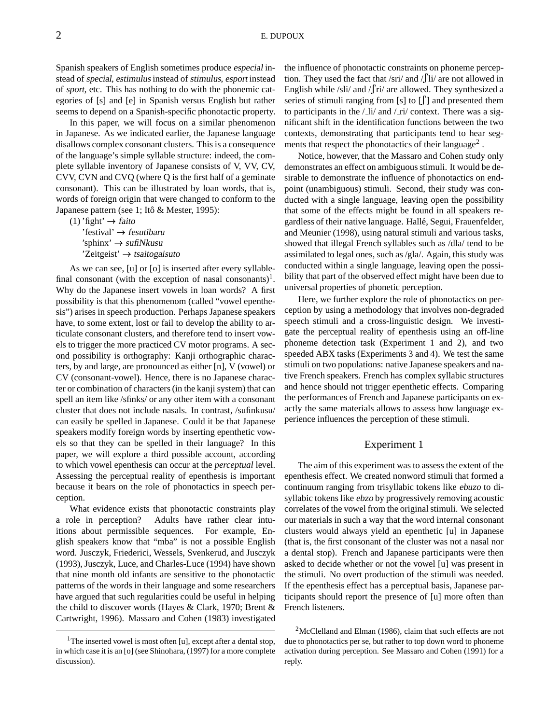Spanish speakers of English sometimes produce especial instead of special, estimulus instead of stimulus, esportinstead of sport, etc. This has nothing to do with the phonemic categories of [s] and [e] in Spanish versus English but rather seems to depend on a Spanish-specific phonotactic property.

In this paper, we will focus on a similar phenomenon in Japanese. As we indicated earlier, the Japanese language disallows complex consonant clusters. This is a consequence of the language's simple syllable structure: indeed, the complete syllable inventory of Japanese consists of V, VV, CV, CVV, CVN and CVQ (where Q is the first half of a geminate consonant). This can be illustrated by loan words, that is, words of foreign origin that were changed to conform to the Japanese pattern (see 1; Itô & Mester, 1995):

(1) 'fight'  $\rightarrow$  faito 'festival'  $\rightarrow$  fesutibaru 'sphinx'  $\rightarrow$  sufiNkusu 'Zeitgeist'  $\rightarrow$  tsaitogaisuto

As we can see, [u] or [o] is inserted after every syllablefinal consonant (with the exception of nasal consonants)<sup>1</sup>. Why do the Japanese insert vowels in loan words? A first possibility is that this phenomenom (called "vowel epenthesis") arises in speech production. Perhaps Japanese speakers have, to some extent, lost or fail to develop the ability to articulate consonant clusters, and therefore tend to insert vowels to trigger the more practiced CV motor programs. A second possibility is orthography: Kanji orthographic characters, by and large, are pronounced as either [n], V (vowel) or CV (consonant-vowel). Hence, there is no Japanese character or combination of characters(in the kanji system) that can spell an item like /sfinks/ or any other item with a consonant cluster that does not include nasals. In contrast, /sufinkusu/ can easily be spelled in Japanese. Could it be that Japanese speakers modify foreign words by inserting epenthetic vowels so that they can be spelled in their language? In this paper, we will explore a third possible account, according to which vowel epenthesis can occur at the *perceptual* level. Assessing the perceptual reality of epenthesis is important because it bears on the role of phonotactics in speech perception.

What evidence exists that phonotactic constraints play a role in perception? Adults have rather clear intuitions about permissible sequences. For example, English speakers know that "mba" is not a possible English word. Jusczyk, Friederici, Wessels, Svenkerud, and Jusczyk (1993), Jusczyk, Luce, and Charles-Luce (1994) have shown that nine month old infants are sensitive to the phonotactic patterns of the words in their language and some researchers have argued that such regularities could be useful in helping the child to discover words (Hayes & Clark, 1970; Brent & Cartwright, 1996). Massaro and Cohen (1983) investigated

the influence of phonotactic constraints on phoneme perception. They used the fact that /sri/ and /  $\int$ li/ are not allowed in English while /sli/ and  $\int$ ri/ are allowed. They synthesized a series of stimuli ranging from [s] to [ ] and presented them to participants in the  $\frac{1}{i}$  and  $\frac{1}{ri}$  context. There was a significant shift in the identification functions between the two contexts, demonstrating that participants tend to hear segments that respect the phonotactics of their language<sup>2</sup>.

Notice, however, that the Massaro and Cohen study only demonstrates an effect on ambiguousstimuli. It would be desirable to demonstrate the influence of phonotactics on endpoint (unambiguous) stimuli. Second, their study was conducted with a single language, leaving open the possibility that some of the effects might be found in all speakers regardless of their native language. Hallé, Segui, Frauenfelder, and Meunier (1998), using natural stimuli and various tasks, showed that illegal French syllables such as /dla/ tend to be assimilated to legal ones, such as /gla/. Again, this study was conducted within a single language, leaving open the possibility that part of the observed effect might have been due to universal properties of phonetic perception.

Here, we further explore the role of phonotactics on perception by using a methodology that involves non-degraded speech stimuli and a cross-linguistic design. We investigate the perceptual reality of epenthesis using an off-line phoneme detection task (Experiment 1 and 2), and two speeded ABX tasks (Experiments 3 and 4). We test the same stimuli on two populations: native Japanese speakers and native French speakers. French has complex syllabic structures and hence should not trigger epenthetic effects. Comparing the performances of French and Japanese participants on exactly the same materials allows to assess how language experience influences the perception of these stimuli.

# Experiment 1

The aim of this experiment was to assess the extent of the epenthesis effect. We created nonword stimuli that formed a continuum ranging from trisyllabic tokens like ebuzo to disyllabic tokens like ebzo by progressively removing acoustic correlates of the vowel from the original stimuli. We selected our materials in such a way that the word internal consonant clusters would always yield an epenthetic [u] in Japanese (that is, the first consonant of the cluster was not a nasal nor a dental stop). French and Japanese participants were then asked to decide whether or not the vowel [u] was present in the stimuli. No overt production of the stimuli was needed. If the epenthesis effect has a perceptual basis, Japanese participants should report the presence of [u] more often than French listeners.

<sup>&</sup>lt;sup>1</sup>The inserted vowel is most often [u], except after a dental stop, in which case it is an [o] (see Shinohara, (1997) for a more complete discussion).

<sup>&</sup>lt;sup>2</sup>McClelland and Elman (1986), claim that such effects are not due to phonotactics per se, but rather to top down word to phoneme activation during perception. See Massaro and Cohen (1991) for a reply.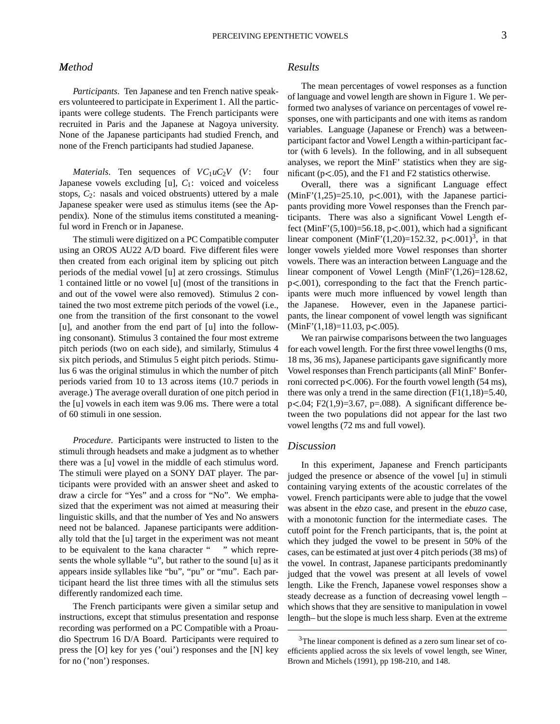# $Method$

*Participants*. Ten Japanese and ten French native speakers volunteered to participate in Experiment 1. All the participants were college students. The French participants were recruited in Paris and the Japanese at Nagoya university. None of the Japanese participants had studied French, and none of the French participants had studied Japanese.

*Materials*. Ten sequences of  $VC_1uC_2V$  (*V*: four Japanese vowels excluding [u],  $C_1$ : voiced and voiceless stops, *C*2: nasals and voiced obstruents) uttered by a male Japanese speaker were used as stimulus items (see the Appendix). None of the stimulus items constituted a meaningful word in French or in Japanese.

The stimuli were digitized on aPC Compatible computer using an OROS AU22 A/D board. Five different files were then created from each original item by splicing out pitch periods of the medial vowel [u] at zero crossings. Stimulus 1 contained little or no vowel [u] (most of the transitions in and out of the vowel were also removed). Stimulus 2 contained the two most extreme pitch periods of the vowel (i.e., one from the transition of the first consonant to the vowel [u], and another from the end part of [u] into the following consonant). Stimulus 3 contained the four most extreme pitch periods (two on each side), and similarly, Stimulus 4 six pitch periods, and Stimulus 5 eight pitch periods. Stimulus 6 was the original stimulus in which the number of pitch periods varied from 10 to 13 across items (10.7 periods in average.) The average overall duration of one pitch period in the [u] vowels in each item was 9.06 ms. There were a total of 60 stimuli in one session.

*Procedure*. Participants were instructed to listen to the stimuli through headsets and make a judgment as to whether there was a [u] vowel in the middle of each stimulus word. The stimuli were played on a SONY DAT player. The participants were provided with an answer sheet and asked to draw a circle for "Yes" and a cross for "No". We emphasized that the experiment was not aimed at measuring their linguistic skills, and that the number of Yes and No answers need not be balanced. Japanese participants were additionally told that the [u] target in the experiment was not meant to be equivalent to the kana character " " which represents the whole syllable "u", but rather to the sound [u] as it appears inside syllables like "bu", "pu" or "mu". Each participant heard the list three times with all the stimulus sets differently randomized each time.

The French participants were given a similar setup and instructions, except that stimulus presentation and response recording was performed on a PC Compatible with a Proaudio Spectrum 16 D/A Board. Participants were required to press the [O] key for yes ('oui') responses and the [N] key for no ('non') responses.

# *Results*

The mean percentages of vowel responses as a function of language and vowel length are shown in Figure 1. We performed two analyses of variance on percentages of vowel responses, one with participants and one with items as random variables. Language (Japanese or French) was a betweenparticipant factor and Vowel Length a within-participant factor (with 6 levels). In the following, and in all subsequent analyses, we report the MinF' statistics when they are significant ( $p < .05$ ), and the F1 and F2 statistics otherwise.

Overall, there was a significant Language effect  $(MinF'(1,25)=25.10, p<0.001)$ , with the Japanese participants providing more Vowel responses than the French participants. There was also a significant Vowel Length effect (MinF' $(5,100)=56.18$ , p $< 0.001$ ), which had a significant linear component (MinF'(1,20)=152.32, p<.001)<sup>3</sup>, in that longer vowels yielded more Vowel responses than shorter vowels. There was an interaction between Language and the linear component of Vowel Length (MinF'(1,26)=128.62,  $p<.001$ ), corresponding to the fact that the French participants were much more influenced by vowel length than the Japanese. However, even in the Japanese participants, the linear component of vowel length was significant  $(MinF'(1,18)=11.03, p<.005).$ 

We ran pairwise comparisons between the two languages for each vowel length. For the first three vowel lengths  $(0 \text{ ms},$ 18 ms, 36 ms), Japanese participants gave significantly more Vowel responses than French participants(all MinF' Bonferroni corrected  $p$ <.006). For the fourth vowel length (54 ms), there was only a trend in the same direction  $(F1(1,18)=5.40)$ ,  $p<.04$ ; F2(1,9)=3.67, p=.088). A significant difference between the two populations did not appear for the last two vowel lengths (72 ms and full vowel).

# *Discussion*

In this experiment, Japanese and French participants judged the presence or absence of the vowel [u] in stimuli containing varying extents of the acoustic correlates of the vowel. French participants were able to judge that the vowel was absent in the ebzo case, and present in the ebuzo case, with a monotonic function for the intermediate cases. The cutoff point for the French participants, that is, the point at which they judged the vowel to be present in 50% of the cases, can be estimated at just over 4 pitch periods (38 ms) of the vowel. In contrast, Japanese participants predominantly judged that the vowel was present at all levels of vowel length. Like the French, Japanese vowel responses show a steady decrease as a function of decreasing vowel length – which shows that they are sensitive to manipulation in vowel length– but the slope is much less sharp. Even at the extreme

<sup>&</sup>lt;sup>3</sup>The linear component is defined as a zero sum linear set of coefficients applied across the six levels of vowel length, see Winer, Brown and Michels (1991), pp 198-210, and 148.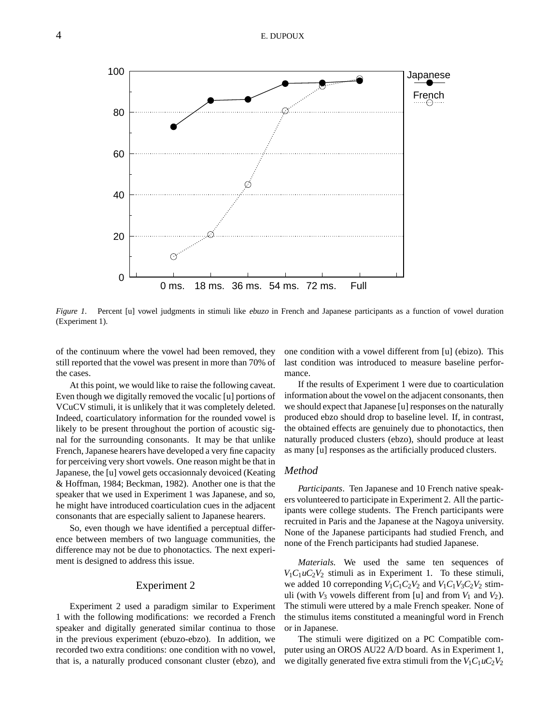

*Figure 1*. Percent [u] vowel judgments in stimuli like ebuzo in French and Japanese participants as a function of vowel duration (Experiment 1).

of the continuum where the vowel had been removed, they still reported that the vowel was present in more than 70% of the cases.

Atthis point, we would like to raise the following caveat. Even though we digitally removed the vocalic [u] portions of VCuCV stimuli, it is unlikely that it was completely deleted. Indeed, coarticulatory information for the rounded vowel is likely to be present throughout the portion of acoustic signal for the surrounding consonants. It may be that unlike French, Japanese hearers have developed a very fine capacity for perceiving very short vowels. One reason might be that in Japanese, the [u] vowel gets occasionnaly devoiced (Keating & Hoffman, 1984; Beckman, 1982). Another one is that the speaker that we used in Experiment 1 was Japanese, and so, he might have introduced coarticulation cues in the adjacent consonants that are especially salient to Japanese hearers.

So, even though we have identified a perceptual difference between members of two language communities, the difference may not be due to phonotactics. The next experiment is designed to address this issue.

### Experiment 2

Experiment 2 used a paradigm similar to Experiment 1 with the following modifications: we recorded a French speaker and digitally generated similar continua to those in the previous experiment (ebuzo-ebzo). In addition, we recorded two extra conditions: one condition with no vowel, that is, a naturally produced consonant cluster (ebzo), and one condition with a vowel different from [u] (ebizo). This last condition was introduced to measure baseline performance.

If the results of Experiment 1 were due to coarticulation information about the vowel on the adjacent consonants, then we should expect that Japanese [u] responses on the naturally produced ebzo should drop to baseline level. If, in contrast, the obtained effects are genuinely due to phonotactics, then naturally produced clusters (ebzo), should produce at least as many [u] responses as the artificially produced clusters.

# *Method*

*Participants*. Ten Japanese and 10 French native speakers volunteered to participate in Experiment 2. All the participants were college students. The French participants were recruited in Paris and the Japanese at the Nagoya university. None of the Japanese participants had studied French, and none of the French participants had studied Japanese.

*Materials*. We used the same ten sequences of  $V_1C_1uC_2V_2$  stimuli as in Experiment 1. To these stimuli, we added 10 correponding  $V_1C_1C_2V_2$  and  $V_1C_1V_3C_2V_2$  stimuli (with  $V_3$  vowels different from [u] and from  $V_1$  and  $V_2$ ). The stimuli were uttered by a male French speaker. None of the stimulus items constituted a meaningful word in French or in Japanese.

The stimuli were digitized on a PC Compatible computer using an OROS AU22 A/D board. As in Experiment 1, we digitally generated five extra stimuli from the  $V_1C_1uC_2V_2$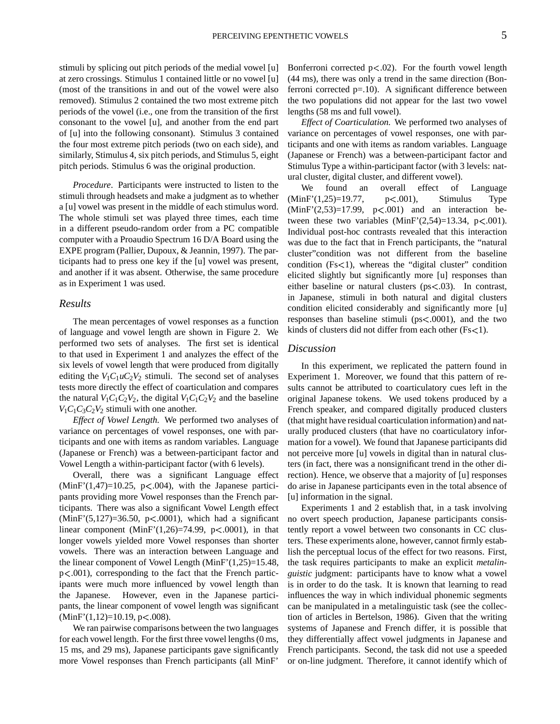stimuli by splicing out pitch periods of the medial vowel [u] at zero crossings. Stimulus 1 contained little or no vowel [u] (most of the transitions in and out of the vowel were also removed). Stimulus 2 contained the two most extreme pitch periods of the vowel (i.e., one from the transition of the first consonant to the vowel [u], and another from the end part of [u] into the following consonant). Stimulus 3 contained the four most extreme pitch periods (two on each side), and similarly, Stimulus 4, six pitch periods, and Stimulus 5, eight pitch periods. Stimulus 6 was the original production.

*Procedure*. Participants were instructed to listen to the stimuli through headsets and make a judgment as to whether a [u] vowel was present in the middle of each stimulus word. The whole stimuli set was played three times, each time in a different pseudo-random order from a PC compatible computer with a Proaudio Spectrum 16 D/A Board using the EXPE program (Pallier, Dupoux, & Jeannin, 1997). The participants had to press one key if the [u] vowel was present, and another if it was absent. Otherwise, the same procedure as in Experiment 1 was used.

#### *Results*

The mean percentages of vowel responses as a function of language and vowel length are shown in Figure 2. We performed two sets of analyses. The first set is identical to that used in Experiment 1 and analyzes the effect of the six levels of vowel length that were produced from digitally editing the  $V_1C_1uC_2V_2$  stimuli. The second set of analyses tests more directly the effect of coarticulation and compares the natural  $V_1C_1C_2V_2$ , the digital  $V_1C_1C_2V_2$  and the baseline  $V_1C_1C_3C_2V_2$  stimuli with one another.

*Effect of Vowel Length.* We performed two analyses of variance on percentages of vowel responses, one with participants and one with items as random variables. Language (Japanese or French) was a between-participant factor and Vowel Length a within-participant factor (with 6 levels).

Overall, there was a significant Language effect  $(Minf'(1,47)=10.25$ ,  $p<.004$ ), with the Japanese participants providing more Vowel responses than the French participants. There was also a significant Vowel Length effect  $(MinF'(5,127)=36.50, p<.0001)$ , which had a significant linear component  $(MinF'(1,26)=74.99, p<.0001)$ , in that longer vowels yielded more Vowel responses than shorter vowels. There was an interaction between Language and the linear component of Vowel Length (MinF'(1,25)=15.48,  $p<.001$ ), corresponding to the fact that the French participants were much more influenced by vowel length than the Japanese. However, even in the Japanese participants, the linear component of vowel length was significant  $(MinF'(1,12)=10.19, p<.008).$ 

We ran pairwise comparisons between the two languages for each vowel length. For the first three vowel lengths (0 ms, 15 ms, and 29 ms), Japanese participants gave significantly more Vowel responses than French participants (all MinF'

Bonferroni corrected  $p<.02$ ). For the fourth vowel length (44 ms), there was only a trend in the same direction (Bonferroni corrected p=.10). A significant difference between the two populations did not appear for the last two vowel lengths (58 ms and full vowel).

*Effect of Coarticulation.* We performed two analyses of variance on percentages of vowel responses, one with participants and one with items as random variables. Language (Japanese or French) was a between-participant factor and Stimulus Type a within-participant factor (with 3 levels: natural cluster, digital cluster, and different vowel).

We found an overall effect of Language  $(Minf'(1,25)=19.77, p<.001)$ , Stimulus Type  $(MinF'(2,53)=17.99$ ,  $p<.001)$  and an interaction between these two variables  $(MinF'(2,54)=13.34, p<.001)$ . Individual post-hoc contrasts revealed that this interaction was due to the fact that in French participants, the "natural cluster"condition was not different from the baseline condition  $(Fs<1)$ , whereas the "digital cluster" condition elicited slightly but significantly more [u] responses than either baseline or natural clusters ( $ps < .03$ ). In contrast, in Japanese, stimuli in both natural and digital clusters condition elicited considerably and significantly more [u] responses than baseline stimuli ( $ps < .0001$ ), and the two kinds of clusters did not differ from each other  $(Fs<1)$ .

#### *Discussion*

In this experiment, we replicated the pattern found in Experiment 1. Moreover, we found that this pattern of results cannot be attributed to coarticulatory cues left in the original Japanese tokens. We used tokens produced by a French speaker, and compared digitally produced clusters (that might have residual coarticulation information) and naturally produced clusters (that have no coarticulatory information for a vowel). We found that Japanese participants did not perceive more [u] vowels in digital than in natural clusters (in fact, there was a nonsignificant trend in the other direction). Hence, we observe that a majority of [u] responses do arise in Japanese participants even in the total absence of [u] information in the signal.

Experiments 1 and 2 establish that, in a task involving no overt speech production, Japanese participants consistently report a vowel between two consonants in CC clusters. These experiments alone, however, cannot firmly establish the perceptual locus of the effect for two reasons. First, the task requires participants to make an explicit *metalinguistic* judgment: participants have to know what a vowel is in order to do the task. It is known that learning to read influences the way in which individual phonemic segments can be manipulated in a metalinguistic task (see the collection of articles in Bertelson, 1986). Given that the writing systems of Japanese and French differ, it is possible that they differentially affect vowel judgments in Japanese and French participants. Second, the task did not use a speeded or on-line judgment. Therefore, it cannot identify which of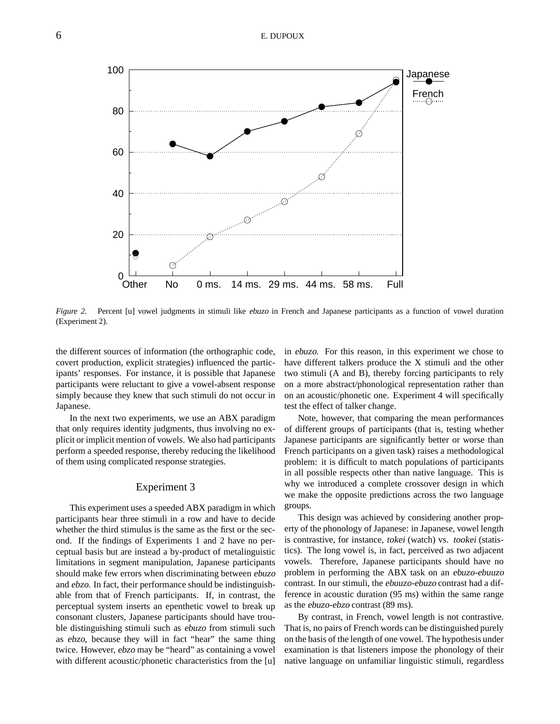

*Figure 2*. Percent [u] vowel judgments in stimuli like ebuzo in French and Japanese participants as a function of vowel duration (Experiment 2).

the different sources of information (the orthographic code, covert production, explicit strategies) influenced the participants' responses. For instance, it is possible that Japanese participants were reluctant to give a vowel-absent response simply because they knew that such stimuli do not occur in Japanese.

In the next two experiments, we use an ABX paradigm that only requires identity judgments, thus involving no explicit or implicit mention of vowels. We also had participants perform a speeded response, thereby reducing the likelihood of them using complicated response strategies.

# Experiment 3

This experiment uses a speeded ABX paradigm in which participants hear three stimuli in a row and have to decide whether the third stimulus is the same as the first or the second. If the findings of Experiments 1 and 2 have no perceptual basis but are instead a by-product of metalinguistic limitations in segment manipulation, Japanese participants should make few errors when discriminating between ebuzo and ebzo. In fact, their performance should be indistinguishable from that of French participants. If, in contrast, the perceptual system inserts an epenthetic vowel to break up consonant clusters, Japanese participants should have trouble distinguishing stimuli such as ebuzo from stimuli such as ebzo, because they will in fact "hear" the same thing twice. However, ebzo may be "heard" as containing a vowel with different acoustic/phonetic characteristics from the [u] in ebuzo. For this reason, in this experiment we chose to have different talkers produce the X stimuli and the other two stimuli (A and B), thereby forcing participants to rely on a more abstract/phonological representation rather than on an acoustic/phonetic one. Experiment 4 will specifically test the effect of talker change.

Note, however, that comparing the mean performances of different groups of participants (that is, testing whether Japanese participants are significantly better or worse than French participants on a given task) raises a methodological problem: it is difficult to match populations of participants in all possible respects other than native language. This is why we introduced a complete crossover design in which we make the opposite predictions across the two language groups.

This design was achieved by considering another property of the phonology of Japanese: in Japanese, vowel length is contrastive, for instance, tokei (watch) vs. tookei (statistics). The long vowel is, in fact, perceived as two adjacent vowels. Therefore, Japanese participants should have no problem in performing the ABX task on an ebuzo-ebuuzo contrast. In our stimuli, the ebuuzo-ebuzo contrast had a difference in acoustic duration (95 ms) within the same range as the ebuzo-ebzo contrast (89 ms).

By contrast, in French, vowel length is not contrastive. That is, no pairs of French words can be distinguished purely on the basis of the length of one vowel. The hypothesis under examination is that listeners impose the phonology of their native language on unfamiliar linguistic stimuli, regardless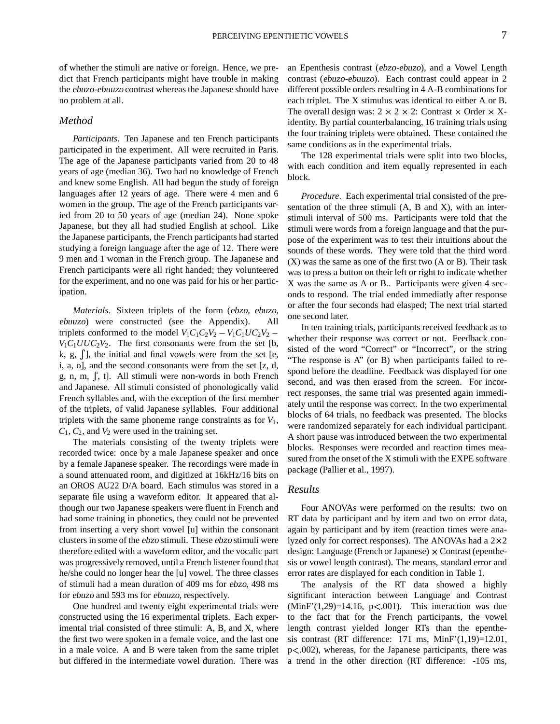of whether the stimuli are native or foreign. Hence, we predict that French participants might have trouble in making the ebuzo-ebuuzo contrast whereas the Japanese should have no problem at all.

## *Method*

*Participants*. Ten Japanese and ten French participants participated in the experiment. All were recruited in Paris. The age of the Japanese participants varied from 20 to 48 years of age (median 36). Two had no knowledge of French and knew some English. All had begun the study of foreign languages after 12 years of age. There were 4 men and 6 women in the group. The age of the French participants varied from 20 to 50 years of age (median 24). None spoke Japanese, but they all had studied English at school. Like the Japanese participants, the French participants had started studying a foreign language after the age of 12. There were 9 men and 1 woman in the French group. The Japanese and French participants were all right handed; they volunteered for the experiment, and no one was paid for his or her participation.

*Materials*. Sixteen triplets of the form (ebzo, ebuzo, ebuuzo) were constructed (see the Appendix). All triplets conformed to the model  $V_1C_1C_2V_2 - V_1C_1UC_2V_2$  –  $V_1C_1UUC_2V_2$ . The first consonants were from the set [b, k, g,  $\int$ , the initial and final vowels were from the set [e, i, a, o], and the second consonants were from the set [z, d, g, n, m,  $\int$ , t]. All stimuli were non-words in both French and Japanese. All stimuli consisted of phonologically valid French syllables and, with the exception of the first member of the triplets, of valid Japanese syllables. Four additional triplets with the same phoneme range constraints as for  $V_1$ ,  $C_1$ ,  $C_2$ , and  $V_2$  were used in the training set.

The materials consisting of the twenty triplets were recorded twice: once by a male Japanese speaker and once by a female Japanese speaker. The recordings were made in a sound attenuated room, and digitized at 16kHz/16 bits on an OROS AU22 D/A board. Each stimulus was stored in a separate file using a waveform editor. It appeared that although our two Japanese speakers were fluent in French and had some training in phonetics, they could not be prevented from inserting a very short vowel [u] within the consonant clusters in some of the ebzo stimuli. These ebzo stimuli were therefore edited with a waveform editor, and the vocalic part was progressively removed, until a French listener found that he/she could no longer hear the [u] vowel. The three classes of stimuli had a mean duration of 409 ms for ebzo, 498 ms for ebuzo and 593 ms for ebuuzo, respectively.

One hundred and twenty eight experimental trials were constructed using the 16 experimental triplets. Each experimental trial consisted of three stimuli: A, B, and X, where the first two were spoken in a female voice, and the last one in a male voice. A and B were taken from the same triplet but differed in the intermediate vowel duration. There was an Epenthesis contrast (ebzo-ebuzo), and a Vowel Length contrast (ebuzo-ebuuzo). Each contrast could appear in 2 different possible orders resulting in 4 A-B combinations for each triplet. The X stimulus was identical to either A or B. The overall design was:  $2 \times 2 \times 2$ : Contrast  $\times$  Order  $\times$  Xidentity. By partial counterbalancing, 16 training trials using the four training triplets were obtained. These contained the same conditions as in the experimental trials.

The 128 experimental trials were split into two blocks, with each condition and item equally represented in each block.

*Procedure*. Each experimental trial consisted of the presentation of the three stimuli (A, B and X), with an interstimuli interval of 500 ms. Participants were told that the stimuli were words from a foreign language and that the purpose of the experiment was to test their intuitions about the sounds of these words. They were told that the third word (X) was the same as one of the first two (A or B). Their task was to press a button on their left or right to indicate whether X was the same as A or B.. Participants were given 4 seconds to respond. The trial ended immediatly after response or after the four seconds had elasped; The next trial started one second later.

In ten training trials, participants received feedback as to whether their response was correct or not. Feedback consisted of the word "Correct" or "Incorrect", or the string "The response is A" (or B) when participants failed to respond before the deadline. Feedback was displayed for one second, and was then erased from the screen. For incorrect responses, the same trial was presented again immediately until the response was correct. In the two experimental blocks of 64 trials, no feedback was presented. The blocks were randomized separately for each individual participant. A short pause was introduced between the two experimental blocks. Responses were recorded and reaction times measured from the onset of the X stimuli with the EXPE software package (Pallier et al., 1997).

#### *Results*

Four ANOVAs were performed on the results: two on RT data by participant and by item and two on error data, again by participant and by item (reaction times were analyzed only for correct responses). The ANOVAs had a  $2 \times 2$ design: Language (French or Japanese)  $\times$  Contrast (epenthesis or vowel length contrast). The means, standard error and error rates are displayed for each condition in Table 1.

The analysis of the RT data showed a highly significant interaction between Language and Contrast  $(MinF(1,29)=14.16, p<.001)$ . This interaction was due to the fact that for the French participants, the vowel length contrast yielded longer RTs than the epenthesis contrast (RT difference:  $171$  ms, MinF' $(1,19)$ =12.01, p .002), whereas, for the Japanese participants, there was a trend in the other direction (RT difference: -105 ms,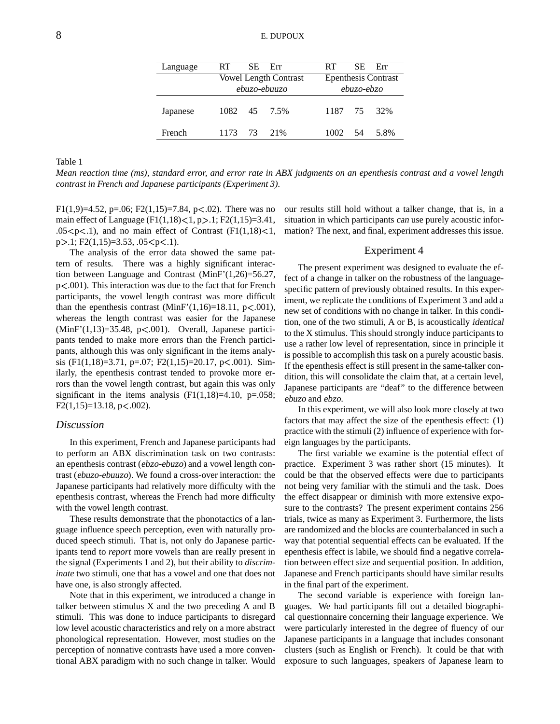| Language      | RT.  |    | SE Err                       | RT.                        |    | $SE$ $Err$ |  |  |
|---------------|------|----|------------------------------|----------------------------|----|------------|--|--|
|               |      |    | <b>Vowel Length Contrast</b> | <b>Epenthesis Contrast</b> |    |            |  |  |
|               |      |    | ebuzo-ebuuzo                 | ebuzo-ebzo                 |    |            |  |  |
| Japanese      |      |    | 1082 45 7.5%                 | 1187 75 32%                |    |            |  |  |
| <b>French</b> | 1173 | 73 | $21\%$                       | 1002.                      | 54 | 5.8%       |  |  |

Table 1

Mean reaction time (ms), standard error, and error rate in ABX judgments on an epenthesis contrast and a vowel length *contrast in French and Japanese participants (Experiment 3).*

F1(1,9)=4.52, p=.06; F2(1,15)=7.84, p<.02). There was no main effect of Language ( $F1(1,18) < 1, p > .1; F2(1,15) = 3.41$ ,  $.05 < p < 1$ ), and no main effect of Contrast (F1(1,18)<1,  $p > 1$ ; F2(1,15)=3.53, .05 $\lt p \lt 1$ ).

The analysis of the error data showed the same pattern of results. There was a highly significant interaction between Language and Contrast (MinF'(1,26)=56.27,  $p<.001$ ). This interaction was due to the fact that for French participants, the vowel length contrast was more difficult than the epenthesis contrast  $(Minf'(1,16)=18.11, p<.001)$ , whereas the length contrast was easier for the Japanese  $(MinF(1,13)=35.48, p<.001)$ . Overall, Japanese participants tended to make more errors than the French participants, although this was only significant in the items analysis (F1(1,18)=3.71, p=.07; F2(1,15)=20.17, p<.001). Similarly, the epenthesis contrast tended to provoke more errors than the vowel length contrast, but again this was only significant in the items analysis  $(F1(1,18)=4.10, p=.058;$  $F2(1,15)=13.18$ , p $< .002$ ).

### *Discussion*

In this experiment, French and Japanese participants had to perform an ABX discrimination task on two contrasts: an epenthesis contrast (ebzo-ebuzo) and a vowel length contrast (ebuzo-ebuuzo). We found a cross-over interaction: the Japanese participants had relatively more difficulty with the epenthesis contrast, whereas the French had more difficulty with the vowel length contrast.

These results demonstrate that the phonotactics of a language influence speech perception, even with naturally produced speech stimuli. That is, not only do Japanese participants tend to *report* more vowels than are really present in the signal (Experiments 1 and 2), but their ability to *discriminate* two stimuli, one that has a vowel and one that does not have one, is also strongly affected.

Note that in this experiment, we introduced a change in talker between stimulus X and the two preceding A and B stimuli. This was done to induce participants to disregard low level acoustic characteristics and rely on a more abstract phonological representation. However, most studies on the perception of nonnative contrasts have used a more conventional ABX paradigm with no such change in talker. Would

our results still hold without a talker change, that is, in a situation in which participants can use purely acoustic information? The next, and final, experiment addresses this issue.

#### Experiment 4

The present experiment was designed to evaluate the effect of a change in talker on the robustness of the languagespecific pattern of previously obtained results. In this experiment, we replicate the conditions of Experiment 3 and add a new set of conditions with no change in talker. In this condition, one of the two stimuli, A or B, is acoustically identical to the X stimulus. This should strongly induce participants to use a rather low level of representation, since in principle it is possible to accomplish this task on a purely acoustic basis. If the epenthesis effect is still present in the same-talker condition, this will consolidate the claim that, at a certain level, Japanese participants are "deaf" to the difference between ebuzo and ebzo.

In this experiment, we will also look more closely at two factors that may affect the size of the epenthesis effect: (1) practice with the stimuli (2) influence of experience with foreign languages by the participants.

The first variable we examine is the potential effect of practice. Experiment 3 was rather short (15 minutes). It could be that the observed effects were due to participants not being very familiar with the stimuli and the task. Does the effect disappear or diminish with more extensive exposure to the contrasts? The present experiment contains 256 trials, twice as many as Experiment 3. Furthermore, the lists are randomized and the blocks are counterbalanced in such a way that potential sequential effects can be evaluated. If the epenthesis effect is labile, we should find a negative correlation between effect size and sequential position. In addition, Japanese and French participants should have similar results in the final part of the experiment.

The second variable is experience with foreign languages. We had participants fill out a detailed biographical questionnaire concerning their language experience. We were particularly interested in the degree of fluency of our Japanese participants in a language that includes consonant clusters (such as English or French). It could be that with exposure to such languages, speakers of Japanese learn to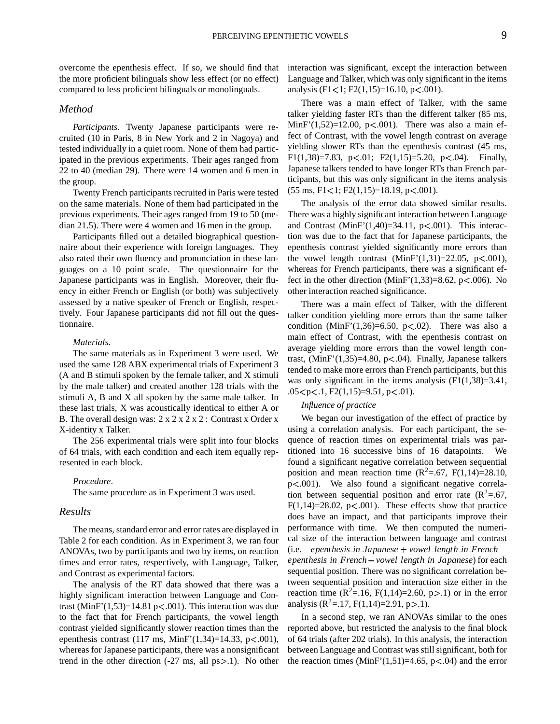overcome the epenthesis effect. If so, we should find that the more proficient bilinguals show less effect (or no effect) compared to less proficient bilinguals or monolinguals.

### *Method*

*Participants*. Twenty Japanese participants were recruited (10 in Paris, 8 in New York and 2 in Nagoya) and tested individually in a quiet room. None of them had participated in the previous experiments. Their ages ranged from 22 to 40 (median 29). There were 14 women and 6 men in the group.

Twenty French participants recruited in Paris were tested on the same materials. None of them had participated in the previous experiments. Their ages ranged from 19 to 50 (median 21.5). There were 4 women and 16 men in the group.

Participants filled out a detailed biographical questionnaire about their experience with foreign languages. They also rated their own fluency and pronunciation in these languages on a 10 point scale. The questionnaire for the Japanese participants was in English. Moreover, their fluency in either French or English (or both) was subjectively assessed by a native speaker of French or English, respectively. Four Japanese participants did not fill out the questionnaire.

#### *Materials*.

The same materials as in Experiment 3 were used. We used the same 128 ABX experimental trials of Experiment 3 (A and B stimuli spoken by the female talker, and X stimuli by the male talker) and created another 128 trials with the stimuli A, B and X all spoken by the same male talker. In these last trials, X was acoustically identical to either A or B. The overall design was:  $2 \times 2 \times 2 \times 2$ : Contrast x Order x X-identity x Talker.

The 256 experimental trials were split into four blocks of 64 trials, with each condition and each item equally represented in each block.

#### *Procedure*.

The same procedure as in Experiment 3 was used.

#### *Results*

The means, standard error and error rates are displayed in Table 2 for each condition. As in Experiment 3, we ran four ANOVAs, two by participants and two by items, on reaction times and error rates, respectively, with Language, Talker, and Contrast as experimental factors.

The analysis of the RT data showed that there was a highly significant interaction between Language and Contrast  $(MinF'(1,53)=14.81 \text{ p} < .001)$ . This interaction was due to the fact that for French participants, the vowel length contrast yielded significantly slower reaction times than the epenthesis contrast  $(117 \text{ ms}, \text{MinF'}(1,34)=14.33, \text{ p} < .001)$ , whereas for Japanese participants, there was a nonsignificant trend in the other direction  $(-27 \text{ ms}, \text{ all } \text{ps} > 0.1)$ . No other interaction was significant, except the interaction between Language and Talker, which was only significant in the items analysis (F1<1; F2(1,15)=16.10, p<.001).

There was a main effect of Talker, with the same talker yielding faster RTs than the different talker (85 ms, MinF'(1,52)=12.00, p<.001). There was also a main effect of Contrast, with the vowel length contrast on average yielding slower RTs than the epenthesis contrast (45 ms, F1(1,38)=7.83, p<.01; F2(1,15)=5.20, p<.04). Finally, Japanese talkers tended to have longer RTs than French participants, but this was only significant in the items analysis  $(55 \text{ ms}, \text{F1} < 1; \text{F2}(1, 15) = 18.19, \text{p} < .001).$ 

The analysis of the error data showed similar results. There was a highly significant interaction between Language and Contrast  $(MinF'(1,40)=34.11, p<.001)$ . This interaction was due to the fact that for Japanese participants, the epenthesis contrast yielded significantly more errors than the vowel length contrast  $(MinF'(1,31)=22.05, p<0.01)$ , whereas for French participants, there was a significant effect in the other direction  $(MinF'(1,33)=8.62, p<.006)$ . No other interaction reached significance.

There was a main effect of Talker, with the different talker condition yielding more errors than the same talker condition (MinF' $(1,36) = 6.50$ , p<.02). There was also a main effect of Contrast, with the epenthesis contrast on average yielding more errors than the vowel length contrast,  $(MinF'(1,35)=4.80, p<.04)$ . Finally, Japanese talkers tended to make more errors than French participants, but this was only significant in the items analysis  $(F1(1,38)=3.41)$ ,  $.05 < p < .1, F2(1,15)=9.51, p < .01$ ).

#### *Influence of practice*

We began our investigation of the effect of practice by using a correlation analysis. For each participant, the sequence of reaction times on experimental trials was partitioned into 16 successive bins of 16 datapoints. We found a significant negative correlation between sequential position and mean reaction time  $(R^2=.67, F(1,14)=28.10,$ p .001). We also found a significant negative correlation between sequential position and error rate  $(R^2=67,$  $F(1,14)=28.02$ ,  $p<.001$ ). These effects show that practice does have an impact, and that participants improve their performance with time. We then computed the numerical size of the interaction between language and contrast (i.e. *epenthesis in Japanese vowel length in French epenthesis in French vowel length in Japanese*) for each sequential position. There was no significant correlation between sequential position and interaction size either in the reaction time  $(R^2 = .16, F(1,14) = 2.60, p > .1)$  or in the error analysis ( $R^2 = .17$ ,  $F(1,14) = 2.91$ ,  $p > .1$ ).

In a second step, we ran ANOVAs similar to the ones reported above, but restricted the analysis to the final block of 64 trials (after 202 trials). In this analysis, the interaction between Language and Contrast was still significant, both for the reaction times  $(MinF'(1,51)=4.65, p<0.04)$  and the error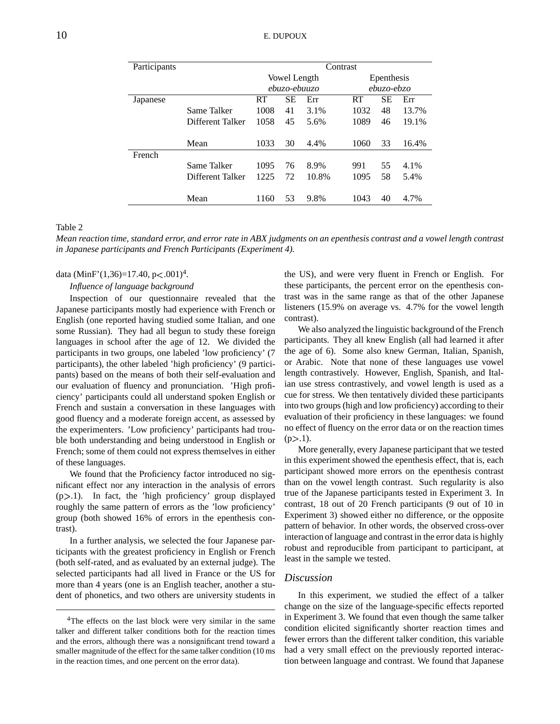| Participants |                  | Contrast     |    |       |            |            |       |  |  |
|--------------|------------------|--------------|----|-------|------------|------------|-------|--|--|
|              |                  | Vowel Length |    |       |            | Epenthesis |       |  |  |
|              |                  | ebuzo-ebuuzo |    |       | ebuzo-ebzo |            |       |  |  |
| Japanese     |                  | RT           | SЕ | Err   | <b>RT</b>  | <b>SE</b>  | Err   |  |  |
|              | Same Talker      | 1008         | 41 | 3.1%  | 1032       | 48         | 13.7% |  |  |
|              | Different Talker | 1058         | 45 | 5.6%  | 1089       | 46         | 19.1% |  |  |
|              |                  |              |    |       |            |            |       |  |  |
|              | Mean             | 1033         | 30 | 4.4%  | 1060       | 33         | 16.4% |  |  |
| French       |                  |              |    |       |            |            |       |  |  |
|              | Same Talker      | 1095         | 76 | 8.9%  | 991        | 55         | 4.1%  |  |  |
|              | Different Talker | 1225         | 72 | 10.8% | 1095       | 58         | 5.4%  |  |  |
|              |                  |              |    |       |            |            |       |  |  |
|              | Mean             | 1160         | 53 | 9.8%  | 1043       | 40         | 4.7%  |  |  |

#### Table 2

Mean reaction time, standard error, and error rate in ABX judgments on an epenthesis contrast and a vowel length contrast *in Japanese participants and French Participants (Experiment 4).*

data (MinF'(1,36)=17.40, p<.001)<sup>4</sup>.

*Influence of language background*

Inspection of our questionnaire revealed that the Japanese participants mostly had experience with French or English (one reported having studied some Italian, and one some Russian). They had all begun to study these foreign languages in school after the age of 12. We divided the participants in two groups, one labeled 'low proficiency' (7 participants), the other labeled 'high proficiency' (9 participants) based on the means of both their self-evaluation and our evaluation of fluency and pronunciation. 'High proficiency' participants could all understand spoken English or French and sustain a conversation in these languages with good fluency and a moderate foreign accent, as assessed by the experimenters. 'Low proficiency' participants had trouble both understanding and being understood in English or French; some of them could not express themselves in either of these languages.

We found that the Proficiency factor introduced no significant effect nor any interaction in the analysis of errors  $(p>1)$ . In fact, the 'high proficiency' group displayed roughly the same pattern of errors as the 'low proficiency' group (both showed 16% of errors in the epenthesis contrast).

In a further analysis, we selected the four Japanese participants with the greatest proficiency in English or French (both self-rated, and as evaluated by an external judge). The selected participants had all lived in France or the US for more than 4 years (one is an English teacher, another a student of phonetics, and two others are university students in

the US), and were very fluent in French or English. For these participants, the percent error on the epenthesis contrast was in the same range as that of the other Japanese listeners (15.9% on average vs. 4.7% for the vowel length contrast).

We also analyzed the linguistic background of the French participants. They all knew English (all had learned it after the age of 6). Some also knew German, Italian, Spanish, or Arabic. Note that none of these languages use vowel length contrastively. However, English, Spanish, and Italian use stress contrastively, and vowel length is used as a cue for stress. We then tentatively divided these participants into two groups(high and low proficiency) according to their evaluation of their proficiency in these languages: we found no effect of fluency on the error data or on the reaction times  $(p>1)$ .

More generally, every Japanese participant that we tested in this experiment showed the epenthesis effect, that is, each participant showed more errors on the epenthesis contrast than on the vowel length contrast. Such regularity is also true of the Japanese participants tested in Experiment 3. In contrast, 18 out of 20 French participants (9 out of 10 in Experiment 3) showed either no difference, or the opposite pattern of behavior. In other words, the observed cross-over interaction of language and contrastin the error data is highly robust and reproducible from participant to participant, at least in the sample we tested.

# *Discussion*

In this experiment, we studied the effect of a talker change on the size of the language-specific effects reported in Experiment 3. We found that even though the same talker condition elicited significantly shorter reaction times and fewer errors than the different talker condition, this variable had a very small effect on the previously reported interaction between language and contrast. We found that Japanese

<sup>&</sup>lt;sup>4</sup>The effects on the last block were very similar in the same talker and different talker conditions both for the reaction times and the errors, although there was a nonsignificant trend toward a smaller magnitude of the effect for the same talker condition (10 ms in the reaction times, and one percent on the error data).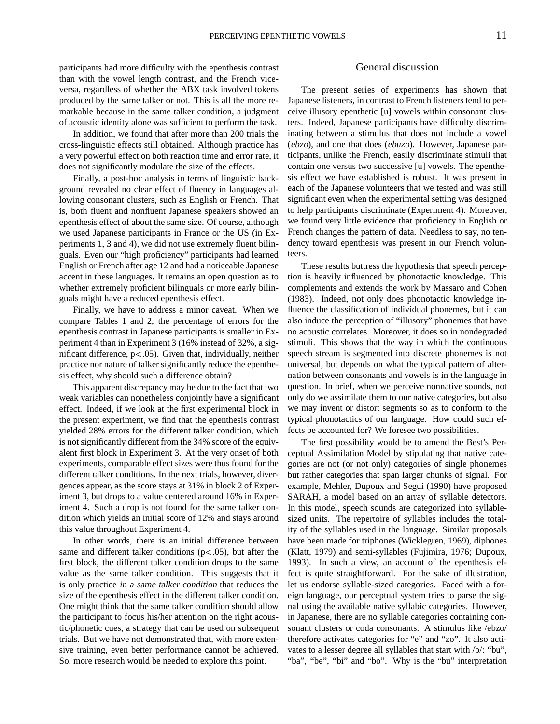participants had more difficulty with the epenthesis contrast than with the vowel length contrast, and the French viceversa, regardless of whether the ABX task involved tokens produced by the same talker or not. This is all the more remarkable because in the same talker condition, a judgment of acoustic identity alone was sufficient to perform the task.

In addition, we found that after more than 200 trials the cross-linguistic effects still obtained. Although practice has a very powerful effect on both reaction time and error rate, it does not significantly modulate the size of the effects.

Finally, a post-hoc analysis in terms of linguistic background revealed no clear effect of fluency in languages allowing consonant clusters, such as English or French. That is, both fluent and nonfluent Japanese speakers showed an epenthesis effect of about the same size. Of course, although we used Japanese participants in France or the US (in Experiments 1, 3 and 4), we did not use extremely fluent bilinguals. Even our "high proficiency" participants had learned English or French after age 12 and had a noticeable Japanese accent in these languages. It remains an open question as to whether extremely proficient bilinguals or more early bilinguals might have a reduced epenthesis effect.

Finally, we have to address a minor caveat. When we compare Tables 1 and 2, the percentage of errors for the epenthesis contrast in Japanese participants is smaller in Experiment 4 than in Experiment 3 (16% instead of 32%, a significant difference,  $p<0.05$ ). Given that, individually, neither practice nor nature of talker significantly reduce the epenthesis effect, why should such a difference obtain?

This apparent discrepancy may be due to the fact that two weak variables can nonetheless conjointly have a significant effect. Indeed, if we look at the first experimental block in the present experiment, we find that the epenthesis contrast yielded 28% errors for the different talker condition, which is not significantly different from the 34% score of the equivalent first block in Experiment 3. At the very onset of both experiments, comparable effect sizes were thus found for the different talker conditions. In the next trials, however, divergences appear, as the score stays at 31% in block 2 of Experiment 3, but drops to a value centered around 16% in Experiment 4. Such a drop is not found for the same talker condition which yields an initial score of 12% and stays around this value throughout Experiment 4.

In other words, there is an initial difference between same and different talker conditions ( $p$ <.05), but after the first block, the different talker condition drops to the same value as the same talker condition. This suggests that it is only practice in <sup>a</sup> same talker condition that reduces the size of the epenthesis effect in the different talker condition. One might think that the same talker condition should allow the participant to focus his/her attention on the right acoustic/phonetic cues, a strategy that can be used on subsequent trials. But we have not demonstrated that, with more extensive training, even better performance cannot be achieved. So, more research would be needed to explore this point.

#### General discussion

The present series of experiments has shown that Japanese listeners, in contrast to French listeners tend to perceive illusory epenthetic [u] vowels within consonant clusters. Indeed, Japanese participants have difficulty discriminating between a stimulus that does not include a vowel (ebzo), and one that does (ebuzo). However, Japanese participants, unlike the French, easily discriminate stimuli that contain one versus two successive [u] vowels. The epenthesis effect we have established is robust. It was present in each of the Japanese volunteers that we tested and was still significant even when the experimental setting was designed to help participants discriminate (Experiment 4). Moreover, we found very little evidence that proficiency in English or French changes the pattern of data. Needless to say, no tendency toward epenthesis was present in our French volunteers.

These results buttress the hypothesis that speech perception is heavily influenced by phonotactic knowledge. This complements and extends the work by Massaro and Cohen (1983). Indeed, not only does phonotactic knowledge influence the classification of individual phonemes, but it can also induce the perception of "illusory" phonemes that have no acoustic correlates. Moreover, it does so in nondegraded stimuli. This shows that the way in which the continuous speech stream is segmented into discrete phonemes is not universal, but depends on what the typical pattern of alternation between consonants and vowels is in the language in question. In brief, when we perceive nonnative sounds, not only do we assimilate them to our native categories, but also we may invent or distort segments so as to conform to the typical phonotactics of our language. How could such effects be accounted for? We foresee two possibilities.

The first possibility would be to amend the Best's Perceptual Assimilation Model by stipulating that native categories are not (or not only) categories of single phonemes but rather categories that span larger chunks of signal. For example, Mehler, Dupoux and Segui (1990) have proposed SARAH, a model based on an array of syllable detectors. In this model, speech sounds are categorized into syllablesized units. The repertoire of syllables includes the totality of the syllables used in the language. Similar proposals have been made for triphones (Wicklegren, 1969), diphones (Klatt, 1979) and semi-syllables (Fujimira, 1976; Dupoux, 1993). In such a view, an account of the epenthesis effect is quite straightforward. For the sake of illustration, let us endorse syllable-sized categories. Faced with a foreign language, our perceptual system tries to parse the signal using the available native syllabic categories. However, in Japanese, there are no syllable categories containing consonant clusters or coda consonants. A stimulus like /ebzo/ therefore activates categories for "e" and "zo". It also activates to a lesser degree all syllables that start with /b/: "bu", "ba", "be", "bi" and "bo". Why is the "bu" interpretation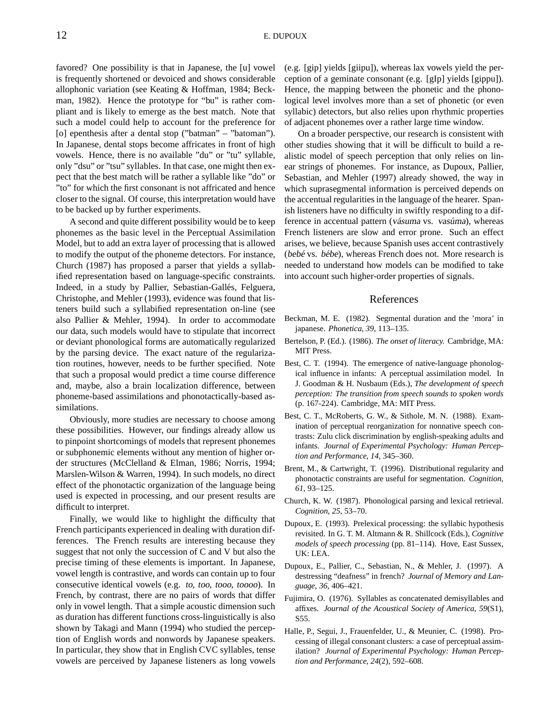favored? One possibility is that in Japanese, the [u] vowel is frequently shortened or devoiced and shows considerable allophonic variation (see Keating & Hoffman, 1984; Beckman, 1982). Hence the prototype for "bu" is rather compliant and is likely to emerge as the best match. Note that such a model could help to account for the preference for [o] epenthesis after a dental stop ("batman" – "batoman"). In Japanese, dental stops become affricates in front of high vowels. Hence, there is no available "du" or "tu" syllable, only "dsu" or "tsu" syllables. In that case, one might then expect that the best match will be rather a syllable like "do" or "to" for which the first consonant is not affricated and hence closer to the signal. Of course, this interpretation would have to be backed up by further experiments.

A second and quite different possibility would be to keep phonemes as the basic level in the Perceptual Assimilation Model, but to add an extra layer of processing that is allowed to modify the output of the phoneme detectors. For instance, Church (1987) has proposed a parser that yields a syllabified representation based on language-specific constraints. Indeed, in a study by Pallier, Sebastian-Gallés, Felguera, Christophe, and Mehler (1993), evidence was found that listeners build such a syllabified representation on-line (see also Pallier & Mehler, 1994). In order to accommodate our data, such models would have to stipulate that incorrect or deviant phonological forms are automatically regularized by the parsing device. The exact nature of the regularization routines, however, needs to be further specified. Note that such a proposal would predict a time course difference and, maybe, also a brain localization difference, between phoneme-based assimilations and phonotactically-based assimilations.

Obviously, more studies are necessary to choose among these possibilities. However, our findings already allow us to pinpoint shortcomings of models that represent phonemes or subphonemic elements without any mention of higher order structures (McClelland & Elman, 1986; Norris, 1994; Marslen-Wilson & Warren, 1994). In such models, no direct effect of the phonotactic organization of the language being used is expected in processing, and our present results are difficult to interpret.

Finally, we would like to highlight the difficulty that French participants experienced in dealing with duration differences. The French results are interesting because they suggest that not only the succession of C and V but also the precise timing of these elements is important. In Japanese, vowel length is contrastive, and words can contain up to four consecutive identical vowels (e.g. to, too, tooo, toooo). In French, by contrast, there are no pairs of words that differ only in vowel length. That a simple acoustic dimension such as duration has different functions cross-linguistically is also shown by Takagi and Mann (1994) who studied the perception of English words and nonwords by Japanese speakers. In particular, they show that in English CVC syllables, tense vowels are perceived by Japanese listeners as long vowels

(e.g. [gip] yields [giipu]), whereas lax vowels yield the perception of a geminate consonant (e.g. [gIp] yields [gippu]). Hence, the mapping between the phonetic and the phonological level involves more than a set of phonetic (or even syllabic) detectors, but also relies upon rhythmic properties of adjacent phonemes over a rather large time window.

On a broader perspective, our research is consistent with other studies showing that it will be difficult to build a realistic model of speech perception that only relies on linear strings of phonemes. For instance, as Dupoux, Pallier, Sebastian, and Mehler (1997) already showed, the way in which suprasegmental information is perceived depends on the accentual regularities in the language of the hearer. Spanish listeners have no difficulty in swiftly responding to a difference in accentual pattern (vásuma vs. vasúma), whereas French listeners are slow and error prone. Such an effect arises, we believe, because Spanish uses accent contrastively (bebé vs. bébe), whereas French does not. More research is needed to understand how models can be modified to take into account such higher-order properties of signals.

#### References

- Beckman, M. E. (1982). Segmental duration and the 'mora' in japanese. *Phonetica*, *39*, 113–135.
- Bertelson, P. (Ed.). (1986). *The onset of literacy.* Cambridge, MA: MIT Press.
- Best, C. T. (1994). The emergence of native-language phonological influence in infants: A perceptual assimilation model. In J. Goodman & H. Nusbaum (Eds.), *The development of speech perception: The transition from speech sounds to spoken words* (p. 167-224). Cambridge, MA: MIT Press.
- Best, C. T., McRoberts, G. W., & Sithole, M. N. (1988). Examination of perceptual reorganization for nonnative speech contrasts: Zulu click discrimination by english-speaking adults and infants. *Journal of Experimental Psychology: Human Perception and Performance*, *14*, 345–360.
- Brent, M., & Cartwright, T. (1996). Distributional regularity and phonotactic constraints are useful for segmentation. *Cognition*, *61*, 93–125.
- Church, K. W. (1987). Phonological parsing and lexical retrieval. *Cognition*, *25*, 53–70.
- Dupoux, E. (1993). Prelexical processing: the syllabic hypothesis revisited. In G. T. M. Altmann & R. Shillcock (Eds.), *Cognitive models of speech processing* (pp. 81–114). Hove, East Sussex, UK: LEA.
- Dupoux, E., Pallier, C., Sebastian, N., & Mehler, J. (1997). A destressing "deafness" in french? *Journal of Memory and Language*, *36*, 406–421.
- Fujimira, O. (1976). Syllables as concatenated demisyllables and affixes. *Journal of the Acoustical Society of America*, *59*(S1), S55.
- Halle, P., Segui, J., Frauenfelder, U., & Meunier, C. (1998). Processing of illegal consonant clusters: a case of perceptual assimilation? *Journal of Experimental Psychology: Human Perception and Performance*, *24*(2), 592–608.